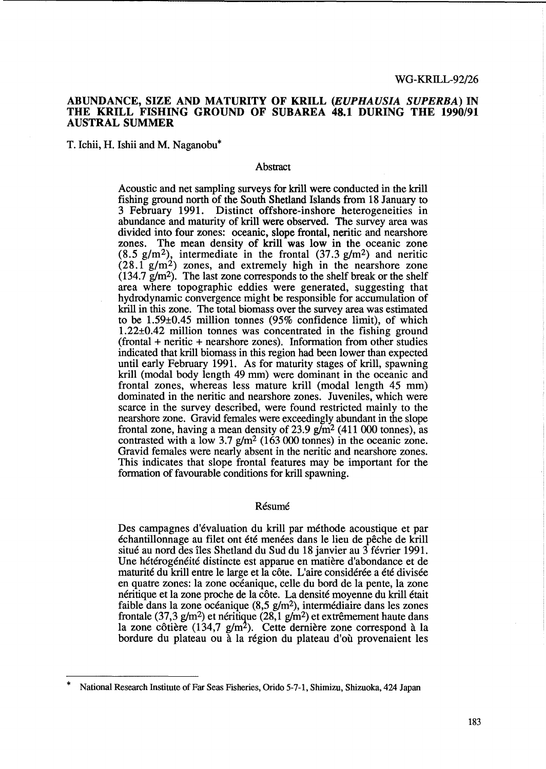### ABUNDANCE, SIZE AND MATURITY OF KRILL *(EUPHAUSIA SUPERBA)* IN THE KRILL FISHING GROUND OF SUBAREA 48.1 DURING THE 1990/91 AUSTRAL SUMMER

T. Ichii, H. Ishii and M. Naganobu\*

#### Abstract

Acoustic and net sampling surveys for krill were conducted in the krill fishing ground north of the South Shetland Islands from 18 January to 3 February 1991. Distinct offshore-inshore heterogeneities in abundance and maturity of krill were observed. The survey area was divided into four zones: oceanic, slope frontal, neritic and nearshore zones. The mean density of krill was low in the oceanic zone  $(8.5 \text{ g/m}^2)$ , intermediate in the frontal  $(37.3 \text{ g/m}^2)$  and neritic  $(28.1 \text{ g/m}^2)$  zones, and extremely high in the nearshore zone  $(134.7 \text{ g/m}^2)$ . The last zone corresponds to the shelf break or the shelf area where topographic eddies were generated, suggesting that hydrodynamic convergence might be responsible for accumulation of kriU in this zone. The total biomass over the survey area was estimated to be 1.59±0.45 million tonnes (95% confidence limit), of which 1.22±O.42 million tonnes was concentrated in the fishing ground (frontal + neritic + nearshore zones). Information from other studies indicated that krill biomass in this region had been lower than expected until early February 1991. As for maturity stages of krill, spawning krill (modal body length 49 mm) were dominant in the oceanic and frontal zones, whereas less mature krill (modal length 45 mm) dominated in the neritic and nearshore zones. Juveniles, which were scarce in the survey described, were found restricted mainly to the nearshore zone. Gravid females were exceedingly abundant in the slope frontal zone, having a mean density of 23.9  $g/m<sup>2</sup>$  (411 000 tonnes), as contrasted with a low  $3.7$  g/m<sup>2</sup> (163 000 tonnes) in the oceanic zone. Gravid females were nearly absent in the neritic and nearshore zones. This indicates that slope frontal features may be important for the formation of favourable conditions for krill spawning.

## Résumé

Des campagnes d'évaluation du krill par méthode acoustique et par echantiUonnage au filet ont ete menees dans le lieu de peche de kriU situe au nord des iles Shetland du Sud du 18 janvier au 3 fevrier 1991. Une hétérogénéité distincte est apparue en matière d'abondance et de maturité du krill entre le large et la côte. L'aire considérée a été divisée en quatre zones: la zone oceanique, celle du bord de la pente, la zone néritique et la zone proche de la côte. La densité moyenne du krill était faible dans la zone océanique  $(8.5 \text{ g/m}^2)$ , intermédiaire dans les zones frontale (37,3 g/m<sup>2</sup>) et néritique (28,1 g/m<sup>2</sup>) et extrêmement haute dans la zone côtière (134,7  $g/m<sup>2</sup>$ ). Cette dernière zone correspond à la bordure du plateau ou à la région du plateau d'où provenaient les

National Research Institute of Far Seas Fisheries, Orido 5-7-1, Shimizu, Shizuoka, 424 Japan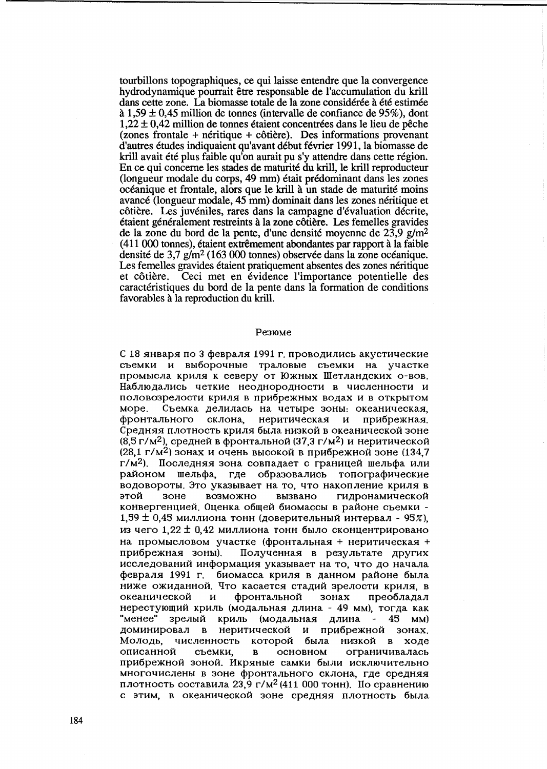tourbillons topographiques, ce qui laisse entendre que la convergence hydrodynamique pourrait être responsable de l'accumulation du krill dans cette zone. La biomasse totale de la zone considérée à été estimée  $\lambda$  1,59 ± 0,45 million de tonnes (intervalle de confiance de 95%), dont  $1,22 \pm 0,42$  million de tonnes étaient concentrées dans le lieu de pêche (zones frontale + néritique + côtière). Des informations provenant d'autres études indiquaient qu'avant début février 1991, la biomasse de krill avait été plus faible qu'on aurait pu s'y attendre dans cette région. En ce qui concerne les stades de maturité du krill, le krill reproducteur (longueur modale du corps, 49 mm) était prédominant dans les zones océanique et frontale, alors que le krill à un stade de maturité moins avancé (longueur modale, 45 mm) dominait dans les zones néritique et côtière. Les juvéniles, rares dans la campagne d'évaluation décrite, étaient généralement restreints à la zone côtière. Les femelles gravides de la zone du bord de la pente, d'une densité moyenne de  $23.9$  g/m<sup>2</sup> (411 000 tonnes), étaient extrêmement abondantes par rapport à la faible densité de 3,7  $g/m^2$  (163 000 tonnes) observée dans la zone océanique. Les femelles gravides étaient pratiquement absentes des zones néritique et côtière. Ceci met en évidence l'importance potentielle des caractéristiques du bord de la pente dans la formation de conditions favorables à la reproduction du krill.

#### Резюме

С 18 января по 3 февраля 1991 г. проводились акустические съемки и выборочные траловые съемки на участке промысла криля к северу от Южных Шетландских о-вов. Наблюдались четкие неоднородности в численности и половозрелости криля в прибрежных водах и в открытом Съемка делилась на четыре зоны: океаническая, MODe. фронтального склона, неритическая и прибрежная. Средняя плотность криля была низкой в океанической зоне (8,5 г/м<sup>2</sup>), средней в фронтальной (37,3 г/м<sup>2</sup>) и неритической  $(28.1 \text{ r/m}^2)$  зонах и очень высокой в прибрежной зоне (134.7) г/м<sup>2</sup>). Последняя зона совпадает с границей шельфа или районом шельфа, где образовались топографические водовороты. Это указывает на то, что накопление криля в этой зоне возможно вызвано гидронамической конвергенцией. Оценка общей биомассы в районе съемки - $1,59 \pm 0,45$  миллиона тонн (доверительный интервал - 95%), из чего 1,22 ± 0,42 миллиона тонн было сконцентрировано на промысловом участке (фронтальная + неритическая + прибрежная зоны). Полученная в результате других исследований информация указывает на то, что до начала февраля 1991 г. биомасса криля в данном районе была ниже ожиданной. Что касается стадий зрелости криля, в преобладал океанической фронтальной зонах И нерестующий криль (модальная длина - 49 мм), тогда как "менее" зрелый криль (модальная длина - 45 мм) доминировал в неритической и прибрежной зонах. Молодь, численность которой была низкой в ходе описанной съемки,  $\, {\bf B}$ основном ограничивалась прибрежной зоной. Икряные самки были исключительно многочислены в зоне фронтального склона, где средняя плотность составила 23,9 г/м<sup>2</sup> (411 000 тонн). По сравнению с этим, в океанической зоне средняя плотность была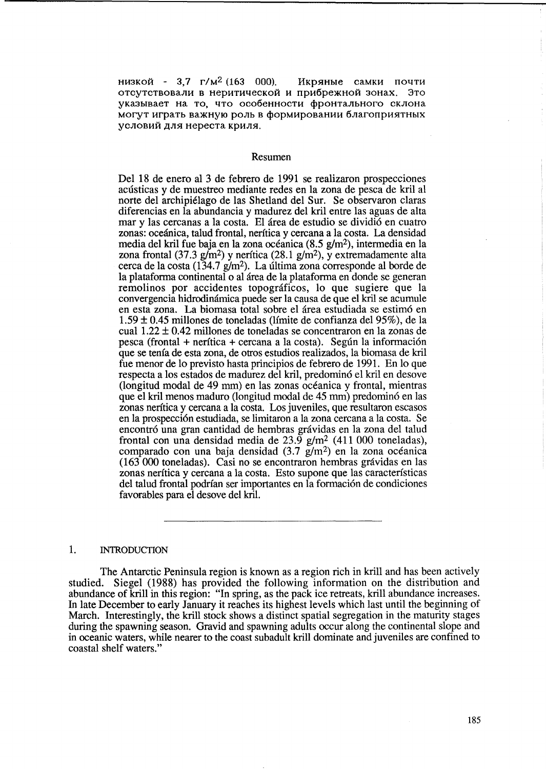низкой - 3,7 г/м<sup>2</sup> (163 000). Икряные самки почти отсутствовали в неритической и прибрежной зонах. Это указывает на то, что особенности фронтального склона могут играть важную роль в формировании благоприятных условий для нереста криля.

#### Resumen

Del 18 de enero al 3 de febrero de 1991 se realizaron prospecciones acusticas y de muestreo mediante redes en la zona de pesca de kril al norte del archipiélago de las Shetland del Sur. Se observaron claras diferencias en la abundancia y madurez del kri! entre las aguas de alta mar y las cercanas a la costa. El área de estudio se dividió en cuatro zonas: oceanica, talud frontal, neritica y cercana a la costa. La densidad media del kril fue baja en la zona océanica  $(8.5 \text{ g/m}^2)$ , intermedia en la zona frontal (37.3 g/m<sup>2</sup>) y nerítica (28.1 g/m<sup>2</sup>), y extremadamente alta cerca de la costa (134.7 g/m2). La ultima zona corresponde al horde de la plataforma continental 0 al area de la plataforma en donde se generan remolinos por accidentes topográficos, lo que sugiere que la convergencia hidrodimimica puede ser la causa de que el kril se acumule en esta zona. La biomasa total sobre el area estudiada se estim6 en 1.59 ± 0.45 millones de toneladas (Hmite de confianza del 95%), de la cual 1.22 ± 0.42 millones de toneladas se concentraron en la zonas de pesca (frontal + nerítica + cercana a la costa). Según la información que se tenia de esta zona, de otros estudios realizados, la biomasa de kril fue menor de 10 previsto hasta principios de febrero de 1991. En 10 que respecta a los estados de madurez del kril, predomin6 el kril en desove (longitud modal de 49 mm) en las zonas oceanica y frontal, mientras que el kril menos maduro (longitud modal de 45 mm) predomin6 en las zonas nerftica y cercana a la costa. Los juveniles, que resultaron escasos en la prospecci6n estudiada, se limitaron a la zona cercana a la costa. Se encontró una gran cantidad de hembras grávidas en la zona del talud frontal con una densidad media de 23.9 g/m<sup>2</sup> (411 000 toneladas), comparado con una baja densidad  $(3.7 \text{ g/m}^2)$  en la zona océanica (163000 toneladas). Casi no se encontraron hembras gravidas en las zonas nerftica y cercana a la costa. Esto supone que las caracterfsticas del talud frontal podrían ser importantes en la formación de condiciones favorables para el desove del kril.

## 1. INTRODUCTION

The Antarctic Peninsula region is known as a region rich in krill and has been actively studied. Siegel (1988) has provided the following information on the distribution and abundance of krill in this region: "In spring, as the pack ice retreats, krill abundance increases. In late December to early January it reaches its highest levels which last until the beginning of March. Interestingly, the krill stock shows a distinct spatial segregation in the maturity stages during the spawning season. Gravid and spawning adults occur along the continental slope and in oceanic waters, while nearer to the coast subadult krill dominate and juveniles are confined to coastal shelf waters."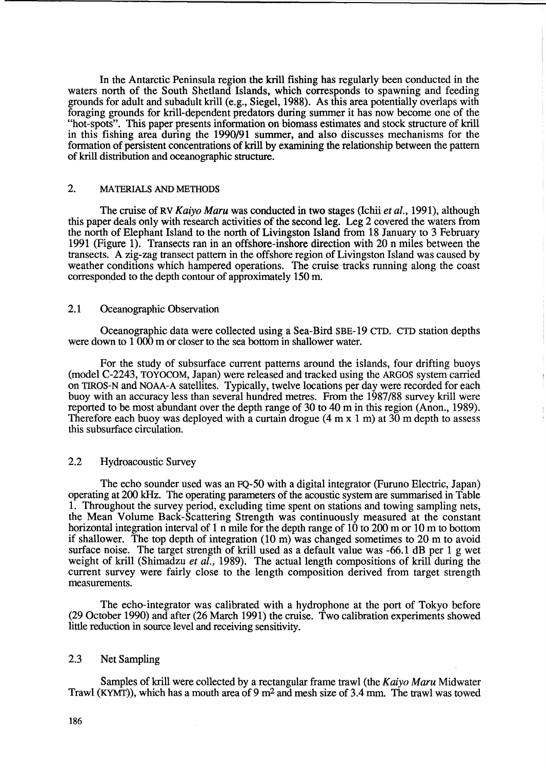In the Antarctic Peninsula region the krill fishing has regularly been conducted in the waters north of the South Shetland Islands, which corresponds to spawning and feeding grounds for adult and subadult krill (e.g., Siegel, 1988). As this area potentially overlaps with foraging grounds for krill-dependent predators during summer it has now become one of the "hot-spots". This paper presents information on biomass estimates and stock structure of krill in this fishing area during the 1990/91 summer, and also discusses mechanisms for the formation of persistent concentrations of krill by examining the relationship between the pattern of krill distribution and oceanographic structure.

# 2. MATERIALS AND METHODS

The cruise of RV *Kaiyo Maru* was conducted in two stages (Ichii *et al.,* 1991), although this paper deals only with research activities of the second leg. Leg 2 covered the waters from the north of Elephant Island to the north of Livingston Island from 18 January to 3 February 1991 (Figure 1). Transects ran in an offshore-inshore direction with 20 n miles between the transects. A zig-zag transect pattern in the offshore region of Livingston Island was caused by weather conditions which hampered operations. The cruise tracks running along the coast corresponded to the depth contour of approximately 150 m.

### 2.1 Oceanographic Observation

Oceanographic data were collected using a Sea-Bird SBE-19 CTD. CTD station depths were down to  $1\overline{000}$  m or closer to the sea bottom in shallower water.

For the study of subsurface current patterns around the islands, four drifting buoys (model C-2243, TOYOCOM, Japan) were released and tracked using the ARGOS system carried on TIROS-N and NOAA-A satellites. Typically, twelve locations per day were recorded for each buoy with an accuracy less than several hundred metres. From the 1987/88 survey krill were reported to be most abundant over the depth range of 30 to 40 m in this region (Anon., 1989). Therefore each buoy was deployed with a curtain drogue  $(4 \text{ m} \times 1 \text{ m})$  at 30 m depth to assess this subsurface circulation.

### 2.2 Hydroacoustic Survey

The echo sounder used was an FQ-50 with a digital integrator (Furuno Electric, Japan) operating at 200 kHz. The operating parameters of the acoustic system are summarised in Table 1. Throughout the survey period, excluding time spent on stations and towing sampling nets, the Mean Volume Back-Scattering Strength was continuously measured at the constant horizontal integration interval of 1 n mile for the depth range of 10 to 200 m or 10 m to bottom if shallower. The top depth of integration (10 m) was changed sometimes to 20 m to avoid surface noise. The target strength of krill used as a default value was -66.1 dB per 1 g wet weight of kriU (Shimadzu *et al.,* 1989). The actual length compositions of krill during the current survey were fairly close to the length composition derived from target strength measurements.

The echo-integrator was calibrated with a hydrophone at the port of Tokyo before (29 October 1990) and after (26 March 1991) the cruise. Two calibration experiments showed little reduction in source level and receiving sensitivity.

# 2.3 Net Sampling

Samples of krill were collected by a rectangular frame trawl (the *Kaiyo Maru* Midwater Trawl (KYMT)), which has a mouth area of 9 m<sup>2</sup> and mesh size of 3.4 mm. The trawl was towed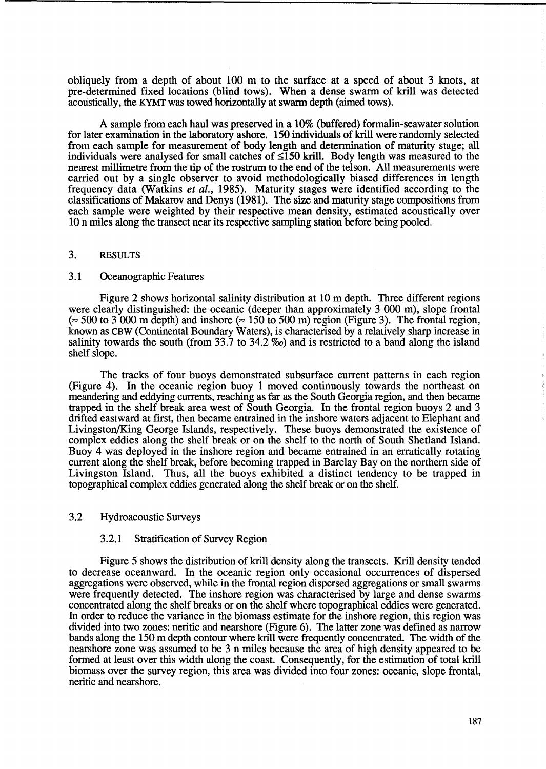obliquely from a depth of about 100 m to the surface at a speed of about 3 knots, at pre-determined fixed locations (blind tows). When a dense swarm of krill was detected acoustically, the KYMT was towed horizontally at swann depth (aimed tows).

A sample from each haul was preserved in a 10% (buffered) formalin-seawater solution for later examination in the laboratory ashore. 150 individuals of krill were randomly selected from each sample for measurement of body length and determination of maturity stage; all individuals were analysed for small catches of  $\leq$ 150 krill. Body length was measured to the nearest millimetre from the tip of the rostrum to the end of the telson. All measurements were carried out by a single observer to avoid methodologically biased differences in length frequency data (Watkins *et al.,* 1985). Maturity stages were identified according to the classifications of Makarov and Denys (1981). The size and maturity stage compositions from each sample were weighted by their respective mean density, estimated acoustically over 10 n miles along the transect near its respective sampling station before being pooled.

### 3. RESULTS

## 3.1 Oceanographic Features

Figure 2 shows horizontal salinity distribution at 10 m depth. Three different regions were clearly distinguished: the oceanic (deeper than approximately 3 000 m), slope frontal ( $\approx$  500 to 3 000 m depth) and inshore ( $\approx$  150 to 500 m) region (Figure 3). The frontal region, known as CBW (Continental Boundary Waters), is characterised by a relatively sharp increase in salinity towards the south (from 33.7 to 34.2 *%0)* and is restricted to a band along the island shelf slope.

The tracks of four buoys demonstrated subsurface current patterns in each region (Figure 4). In the oceanic region buoy 1 moved continuously towards the northeast on meandering and eddying currents, reaching as far as the South Georgia region, and then became trapped in the shelf break area west of South Georgia. In the frontal region buoys 2 and 3 drifted eastward at first, then became entrained in the inshore waters adjacent to Elephant and Livingston/King George Islands, respectively. These buoys demonstrated the existence of complex eddies along the shelf break or on the shelf to the north of South Shetland Island. Buoy 4 was deployed in the inshore region and became entrained in an erratically rotating current along the shelf break, before becoming trapped in Barclay Bay on the northern side of Livingston Island. Thus, all the buoys exhibited a distinct tendency to be trapped in topographical complex eddies generated along the shelf break or on the shelf.

# 3.2 Hydroacoustic Surveys

## 3.2.1 Stratification of Survey Region

Figure 5 shows the distribution of krill density along the transects. Krill density tended to decrease oceanward. In the oceanic region only occasional occurrences of dispersed aggregations were observed, while in the frontal region dispersed aggregations or small swarms were frequently detected. The inshore region was characterised by large and dense swarms concentrated along the shelf breaks or on the shelf where topographical eddies were generated. In order to reduce the variance in the biomass estimate for the inshore region, this region was divided into two zones: neritic and nearshore (Figure 6). The latter zone was defined as narrow bands along the 150 m depth contour where krill were frequently concentrated. The width of the nearshore zone was assumed to be 3 n miles because the area of high density appeared to be formed at least over this width along the coast. Consequently, for the estimation of total krill biomass over the survey region, this area was divided into four zones: oceanic, slope frontal, neritic and nearshore.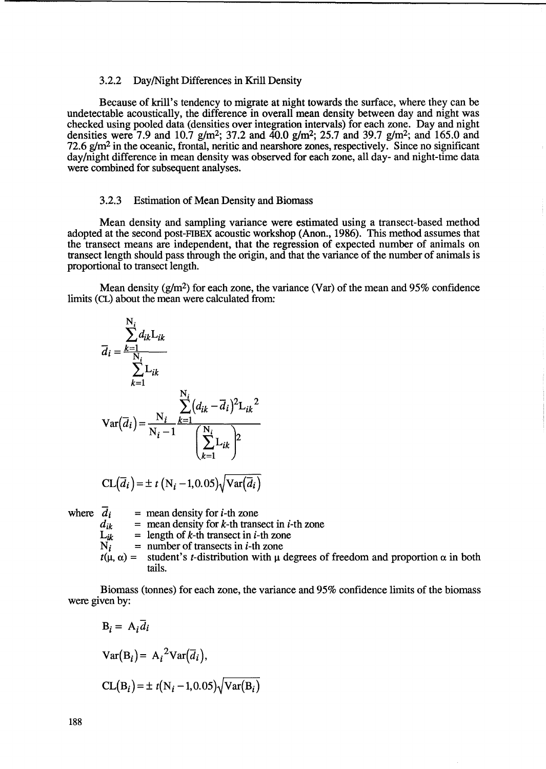#### 3.2.2 Day/Night Differences in Krill Density

Because of krill's tendency to migrate at night towards the surface, where they can be undetectable acoustically, the difference in overall mean density between day and night was checked using pooled data (densities over integration intervals) for each zone. Day and night densities were 7.9 and 10.7 g/m<sup>2</sup>; 37.2 and  $40.0$  g/m<sup>2</sup>; 25.7 and 39.7 g/m<sup>2</sup>; and 165.0 and *72.6 g/m<sup>2</sup>* in the oceanic, frontal, neritic and nearshore zones, respectively. Since no significant day/night difference in mean density was observed for each zone, all day- and night-time data were combined for subsequent analyses.

### 3.2.3 Estimation of Mean Density and Biomass

Mean density and sampling variance were estimated using a transect-based method adopted at the second post-FIBEX acoustic workshop (Anon., 1986). This method assumes that the transect means are independent, that the regression of expected number of animals on transect length should pass through the origin, and that the variance of the number of animals is proportional to transect length.

Mean density ( $g/m^2$ ) for each zone, the variance (Var) of the mean and 95% confidence limits (CL) about the mean were calculated from:

$$
\overline{d}_{i} = \frac{\sum_{k=1}^{N_{i}} d_{ik} L_{ik}}{\sum_{k=1}^{N_{i}} L_{ik}}
$$
\n
$$
Var(\overline{d}_{i}) = \frac{N_{i}}{N_{i} - 1} \frac{\sum_{k=1}^{N_{i}} (d_{ik} - \overline{d}_{i})^{2} L_{ik}^{2}}{\left(\sum_{k=1}^{N_{i}} L_{ik}\right)^{2}}
$$
\n
$$
CL(\overline{d}_{i}) = \pm t (N_{i} - 1, 0.05) \sqrt{Var(\overline{d}_{i})}
$$

where  $d_i$  = mean density for *i*-th zone<br> $d_{ik}$  = mean density for *k*-th trans

 $d_{ik}$  = mean density for k-th transect in *i*-th zone<br>  $L_{ik}$  = length of k-th transect in *i*-th zone

 $L_{ik}$  = length of *k*-th transect in *i*-th zone<br>N<sub>*i*</sub> = number of transects in *i*-th zone

- $=$  number of transects in *i*-th zone
- $t(\mu, \alpha)$  = student's *t*-distribution with  $\mu$  degrees of freedom and proportion  $\alpha$  in both tails.

Biomass (tonnes) for each zone, the variance and 95% confidence limits of the biomass were given by:

$$
B_i = A_i \overline{d_i}
$$
  
Var $(B_i)$  =  $A_i^2 Var(\overline{d_i})$ ,  
CL $(B_i)$  =  $\pm t(N_i - 1, 0.05)\sqrt{Var(B_i)}$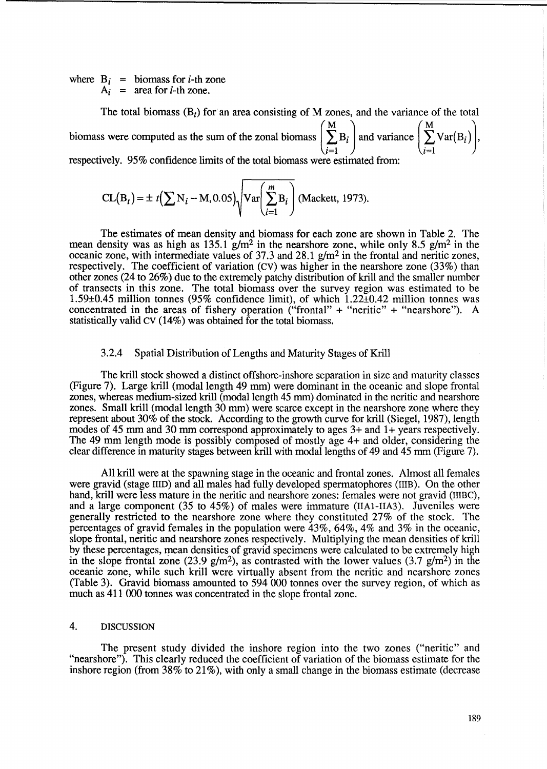where  $B_i$  = biomass for *i*-th zone  $A_i$  = area for *i*-th zone.

The total biomass (B*t)* for an area consisting of M zones, and the variance of the total biomass were computed as the sum of the zonal biomass  $|\sum B_i|$  and variance  $|\sum \text{Var}(B_i)|$ ,  $i=1$   $j$   $\qquad \qquad \downarrow i=1$ respectively. 95% confidence limits of the total biomass were estimated from:

 $CL(B_t) = \pm t \left( \sum N_i - M, 0.05 \right) \sqrt{\text{Var} \left( \sum_{i=1}^{m} B_i \right)}$  (Mackett, 1973).

The estimates of mean density and biomass for each zone are shown in Table 2. The mean density was as high as 135.1  $g/m^2$  in the nearshore zone, while only 8.5  $g/m^2$  in the oceanic zone, with intermediate values of 37.3 and 28.1 g/m2 in the frontal and neritic zones, respectively. The coefficient of variation (CV) was higher in the nearshore zone (33%) than other zones (24 to 26%) due to the extremely patchy distribution of krill and the smaller number of transects in this zone. The total biomass over the survey region was estimated to be 1.59±0.45 million tonnes (95% confidence limit), of which 1.22±0.42 million tonnes was concentrated in the areas of fishery operation ("frontal" + "neritic" + "nearshore"). A statistically valid CV (14%) was obtained for the total biomass.

#### 3.2.4 Spatial Distribution of Lengths and Maturity Stages of Krill

The krill stock showed a distinct offshore-inshore separation in size and maturity classes (Figure 7). Large krill (modal length 49 mm) were dominant in the oceanic and slope frontal zones, whereas medium-sized krill (modal length 45 mm) dominated in the neritic and nearshore zones. Small krill (modal length 30 mm) were scarce except in the nearshore zone where they represent about 30% of the stock. According to the growth curve for krill (Siegel, 1987), length modes of 45 mm and 30 mm correspond approximately to ages 3+ and 1+ years respectively. The 49 mm length mode is possibly composed of mostly age 4+ and older, considering the clear difference in maturity stages between krill with modal lengths of 49 and 45 mm (Figure 7).

All krill were at the spawning stage in the oceanic and frontal zones. Almost all females were gravid (stage IIID) and all males had fully developed spermatophores (IIIB). On the other hand, krill were less mature in the neritic and nearshore zones: females were not gravid (IIIBC), and a large component (35 to 45%) of males were immature (lIA1-IIA3). Juveniles were generally restricted to the nearshore zone where they constituted 27% of the stock. The percentages of gravid females in the population were  $43\%, 64\%, 4\%$  and  $3\%$  in the oceanic, slope frontal, neritic and nearshore zones respectively. Multiplying the mean densities of kriU by these percentages, mean densities of gravid specimens were calculated to be extremely high in the slope frontal zone (23.9 g/m<sup>2</sup>), as contrasted with the lower values (3.7 g/m<sup>2</sup>) in the oceanic zone, while such krill were virtually absent from the neritic and nearshore zones (Table 3). Gravid biomass amounted to 594 000 tonnes over the survey region, of which as much as 411 000 tonnes was concentrated in the slope frontal zone.

## 4. DISCUSSION

The present study divided the inshore region into the two zones ("neritic" and "nearshore"). This clearly reduced the coefficient of variation of the biomass estimate for the inshore region (from 38% to 21%), with only a small change in the biomass estimate (decrease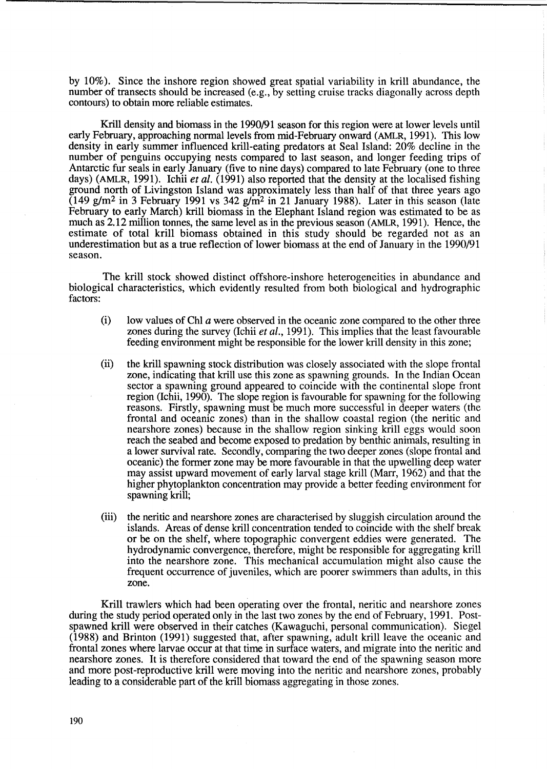by 10%). Since the inshore region showed great spatial variability in krill abundance, the number of transects should be increased (e.g., by setting cruise tracks diagonally across depth contours) to obtain more reliable estimates.

Krill density and biomass in the 1990/91 season for this region were at lower levels until early February, approaching normal levels from mid-February onward (AMLR, 1991). This low density in early summer influenced krill-eating predators at Seal Island: 20% decline in the number of penguins occupying nests compared to last season, and longer feeding trips of Antarctic fur seals in early January (five to nine days) compared to late February (one to three days) (AMLR, 1991). Ichii *et al.* (1991) also reported that the density at the localised fishing ground north of Livingston Island was approximately less than half of that three years ago  $(149 \text{ g/m}^2 \text{ in } 3 \text{ February } 1991 \text{ vs } 342 \text{ g/m}^2 \text{ in } 21 \text{ January } 1988)$ . Later in this season (late February to early March) krill biomass in the Elephant Island region was estimated to be as much as 2.12 million tonnes, the same level as in the previous season (AMLR, 1991). Hence, the estimate of total krill biomass obtained in this study should be regarded not as an underestimation but as a true reflection of lower biomass at the end of January in the 1990/91 season.

The krill stock showed distinct offshore-inshore heterogeneities in abundance and biological characteristics, which evidently resulted from both biological and hydrographic factors:

- $(i)$  low values of ChI a were observed in the oceanic zone compared to the other three zones during the survey (Ichii *et aI.,* 1991). This implies that the least favourable feeding environment might be responsible for the lower krill density in this zone;
- (ii) the krill spawning stock distribution was closely associated with the slope frontal zone, indicating that krill use this zone as spawning grounds. In the Indian Ocean sector a spawning ground appeared to coincide with the continental slope front region (Ichii, 1990). The slope region is favourable for spawning for the following reasons. Firstly, spawning must be much more successful in deeper waters (the frontal and oceanic zones) than in the shallow coastal region (the neritic and nearshore zones) because in the shallow region sinking krill eggs would soon reach the seabed and become exposed to predation by benthic animals, resulting in a lower survival rate. Secondly, comparing the two deeper zones (slope frontal and oceanic) the former zone may be more favourable in that the upwelling deep water may assist upward movement of early larval stage kriU (Marr, 1962) and that the higher phytoplankton concentration may provide a better feeding environment for spawning krill;
- (iii) the neritic and nearshore zones are characterised by sluggish circulation around the islands. Areas of dense krill concentration tended to coincide with the shelf break or be on the shelf, where topographic convergent eddies were generated. The hydrodynamic convergence, therefore, might be responsible for aggregating krill into the nearshore zone. This mechanical accumulation might also cause the frequent occurrence of juveniles, which are poorer swimmers than adults, in this zone.

Krill trawlers which had been operating over the frontal, neritic and nearshore zones during the study period operated only in the last two zones by the end of February, 1991. Postspawned krill were observed in their catches (Kawaguchi, personal communication). Siege1 (1988) and Brinton (1991) suggested that, after spawning, adult krill leave the oceanic and frontal zones where larvae occur at that time in surface waters, and migrate into the neritic and nearshore zones. It is therefore considered that toward the end of the spawning season more and more post-reproductive krill were moving into the neritic and nearshore zones, probably leading to a considerable part of the krill biomass aggregating in those zones.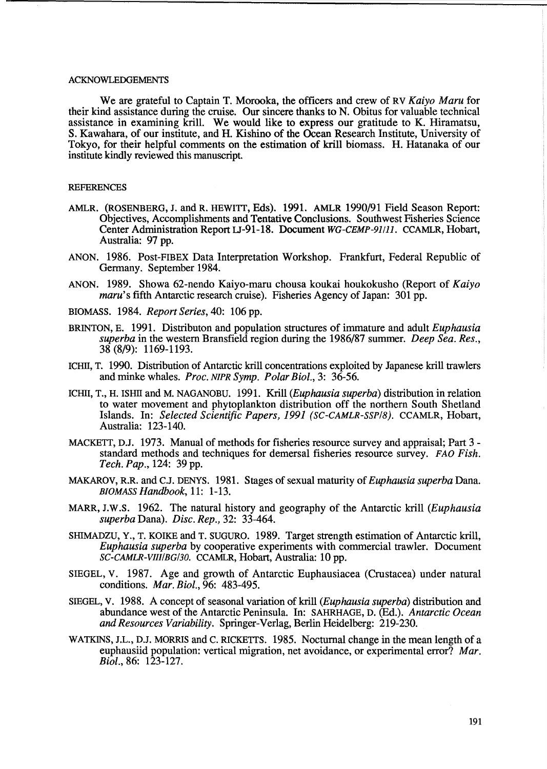### ACKNOWLEDGEMENTS

We are grateful to Captain T. Morooka, the officers and crew of RV *Kaiyo Maru* for their kind assistance during the cruise. Our sincere thanks to N. Obitus for valuable technical assistance in examining krill. We would like to express our gratitude to K. Hiramatsu, S. Kawahara, of our institute, and H. Kishino of the Ocean Research Institute, University of Tokyo, for their helpful comments on the estimation of krill biomass. H. Hatanaka of our institute kindly reviewed this manuscript.

### REFERENCES

- AMLR. (ROSENBERG, J. and R. HEWITT, Eds). 1991. AMLR 1990/91 Field Season Report: Objectives, Accomplishments and Tentative Conclusions. Southwest Fisheries Science Center Administration Report u-91-18. Document *WG-CEMP-9J/ll.* CCAMLR, Hobart, Australia: 97 pp.
- ANON. 1986. Post-FIBEX Data Interpretation Workshop. Frankfurt, Federal Republic of Germany. September 1984.
- ANON. 1989. Showa 62-nendo Kaiyo-maru chousa koukai houkokusho (Report of *Kaiyo maru's* fifth Antarctic research cruise). Fisheries Agency of Japan: 301 pp.
- BIOMASS. 1984. *Report Series,* 40: 106 pp.
- BRINTON, E. 1991. Distributon and population structures of immature and adult *Euphausia superba* in the western Bransfield region during the 1986/87 summer. *Deep Sea. Res.,*  38 (8/9): 1169-1193.
- ICHII, T. 1990. Distribution of Antarctic kriU concentrations exploited by Japanese krill trawlers and minke whales. *Proc. NIPR Symp. Polar Bioi.,* 3: 36-56.
- ICHII, T., H. ISHII and M. NAGANOBU. 1991. Krill *(Euphausia superba)* distribution in relation to water movement and phytoplankton distribution off the northern South Shetland Islands. In: *Selected Scientific Papers,* 1991 *(SC-CAMLR-SSP/8).* CCAMLR, Hobart, Australia: 123-140.
- MACKETT, D.J. 1973. Manual of methods for fisheries resource survey and appraisal; Part 3 standard methods and techniques for demersal fisheries resource survey. FAO *Fish. Tech. Pap.,* 124: 39 pp.
- MAKAROV, R.R. and C.J. DENYS. 1981. Stages of sexual maturity of *Euphausia superba* Dana. *BIOMASS Handbook,* 11: 1-13.
- MARR, J.W.S. 1962. The natural history and geography of the Antarctic krill *(Euphausia superba* Dana). *Disc. Rep.,* 32: 33-464.
- SHIMADZU, Y., T. KOIKE and T. SUGURO. 1989. Target strength estimation of Antarctic kriU, *Euphausia superba* by cooperative experiments with commercial trawler. Document *SC-CAMLR-VIII/BG/30.* CCAMLR, Hobart, Australia: 10 pp.
- SIEGEL, v. 1987. Age and growth of Antarctic Euphausiacea (Crustacea) under natural conditions. *Mar. Bioi.,* 96: 483-495.
- SIEGEL, v. 1988. A concept of seasonal variation of krill *(Euphausia superba)* distribution and abundance west of the Antarctic Peninsula. In: SAHRHAGE, D. (Bd.). *Antarctic Ocean and Resources Variability.* Springer-Verlag, Berlin Heidelberg: 219-230.
- WATKINS, J.L., D.J. MORRIS and C. RICKETTS. 1985. Nocturnal change in the mean length of a euphausiid population: vertical migration, net avoidance, or experimental error? *Mar. Biol.,86: 123-127.*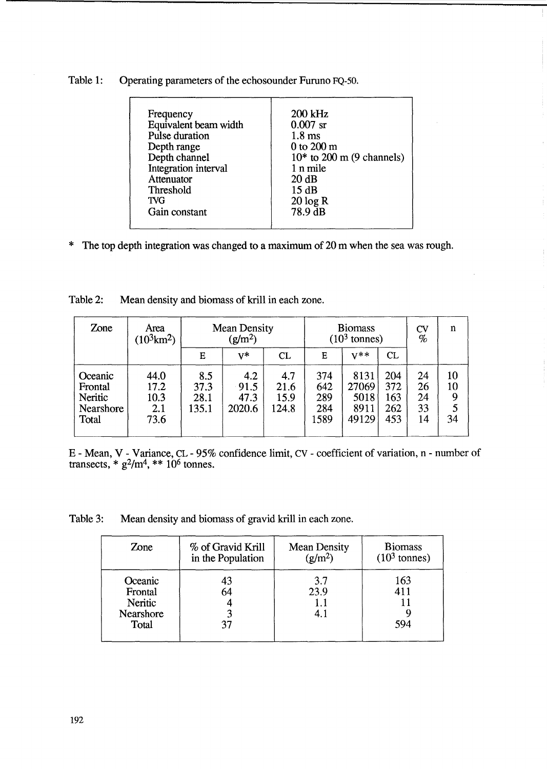| Table 1: | Operating parameters of the echosounder Furuno FQ-50. |
|----------|-------------------------------------------------------|
|----------|-------------------------------------------------------|

\* The top depth integration was changed to a maximum of 20 m when the sea was rough.

| Zone                                                | Area<br>$(10^3 \text{km}^2)$        | <b>Mean Density</b><br>(g/m <sup>2</sup> ) |                               |                              | <b>Biomass</b><br>$(103$ tonnes) |                                        |                                 | <b>CV</b><br>$\%$          | n                   |
|-----------------------------------------------------|-------------------------------------|--------------------------------------------|-------------------------------|------------------------------|----------------------------------|----------------------------------------|---------------------------------|----------------------------|---------------------|
|                                                     |                                     | Е                                          | $V^*$                         | CL                           | Е                                | $V^{\ast\ast}$                         | CL                              |                            |                     |
| Oceanic<br>Frontal<br>Neritic<br>Nearshore<br>Total | 44.0<br>17.2<br>10.3<br>2.1<br>73.6 | 8.5<br>37.3<br>28.1<br>135.1               | 4.2<br>91.5<br>47.3<br>2020.6 | 4.7<br>21.6<br>15.9<br>124.8 | 374<br>642<br>289<br>284<br>1589 | 8131<br>27069<br>5018<br>8911<br>49129 | 204<br>372<br>163<br>262<br>453 | 24<br>26<br>24<br>33<br>14 | 10<br>10<br>9<br>34 |

Table 2: Mean density and biomass of krill in each zone.

E - Mean, V - Variance, CL - 95% confidence limit, CV - coefficient of variation, n - number of transects,  $*$   $g^2/m^4$ ,  $**$  10<sup>6</sup> tonnes.

Table 3: Mean density and biomass of gravid krill in each zone.

| Zone                                                | % of Gravid Krill | <b>Mean Density</b>       | <b>Biomass</b>    |
|-----------------------------------------------------|-------------------|---------------------------|-------------------|
|                                                     | in the Population | $(g/m^2)$                 | $(103$ tonnes)    |
| Oceanic<br>Frontal<br>Neritic<br>Nearshore<br>Total | 43<br>64          | 3.7<br>23.9<br>1.1<br>4.1 | 163<br>411<br>594 |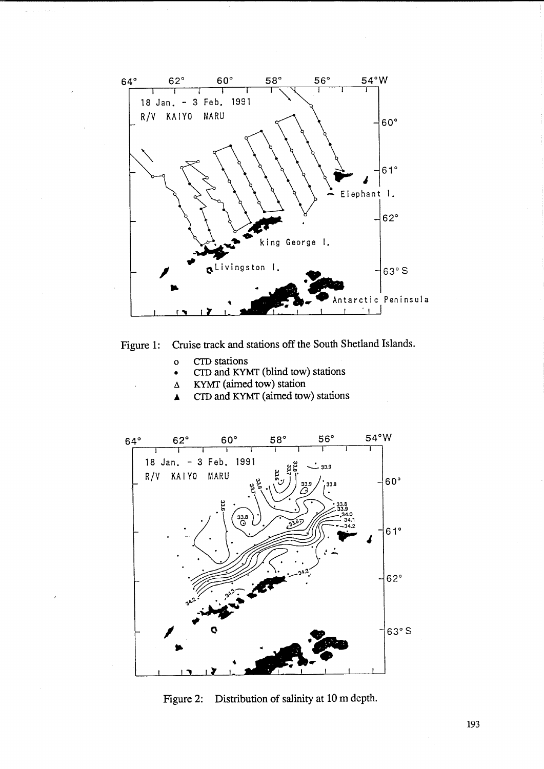



- o CfD stations
- CfD and KYMT (blind tow) stations
- $\Delta$  KYMT (aimed tow) station
- **A** CTD and KYMT (aimed tow) stations



Figure 2: Distribution of salinity at 10 m depth.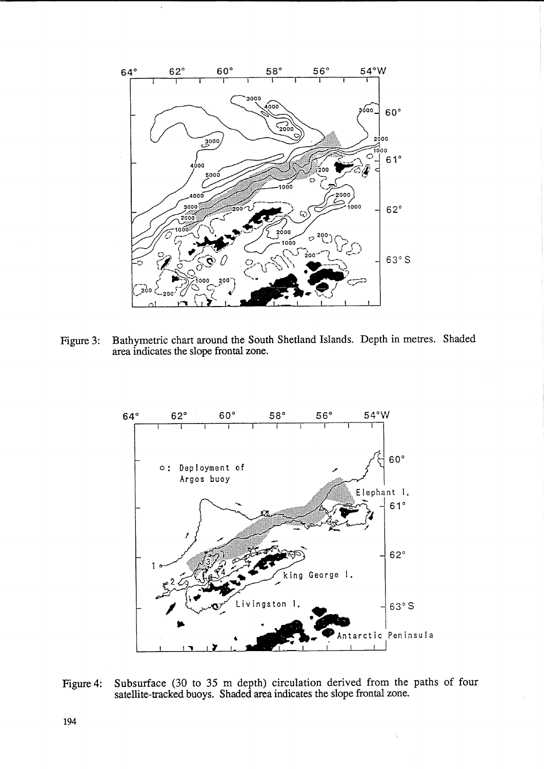

 $\ddot{\phantom{0}}$ 

Figure 3: Bathymetric chart around the South Shetland Islands. Depth in metres. Shaded area indicates the slope frontal zone.



Figure 4: Subsurface (30 to 35 m depth) circulation derived from the paths of four satellite-tracked buoys. Shaded area indicates the slope frontal zone.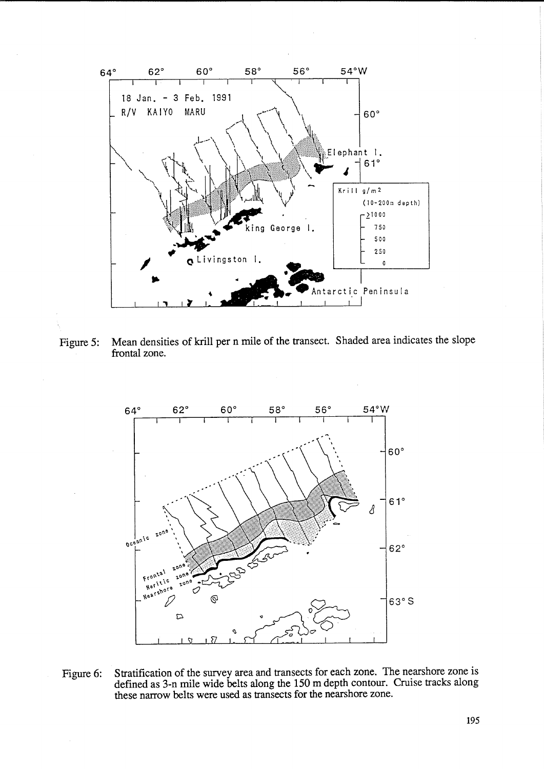

Mean densities of krill per n mile of the transect. Shaded area indicates the slope Figure 5: frontal zone.



Stratification of the survey area and transects for each zone. The nearshore zone is Figure 6: defined as 3-n mile wide belts along the 150 m depth contour. Cruise tracks along these narrow belts were used as transects for the nearshore zone.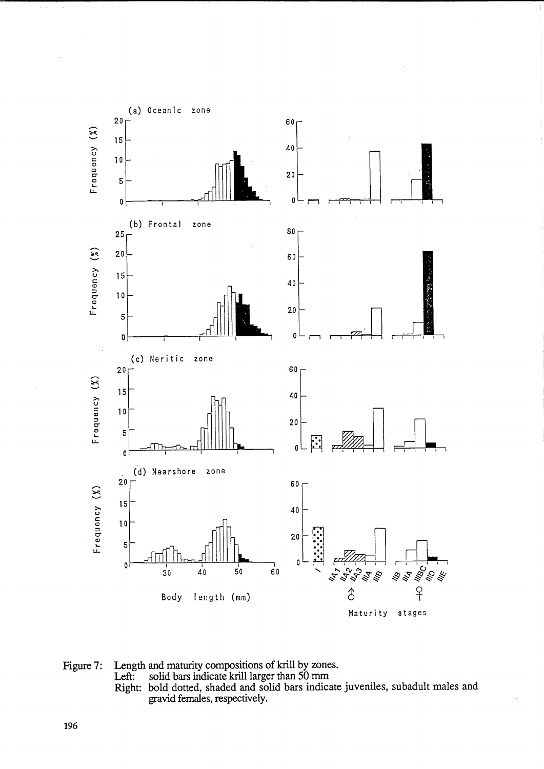

Figure 7: Length and maturity compositions of krill by zones.<br>Left: solid bars indicate krill larger than 50 mm solid bars indicate krill larger than 50 mm Right: bold dotted, shaded and solid bars indicate juveniles, subadult males and gravid females, respectively.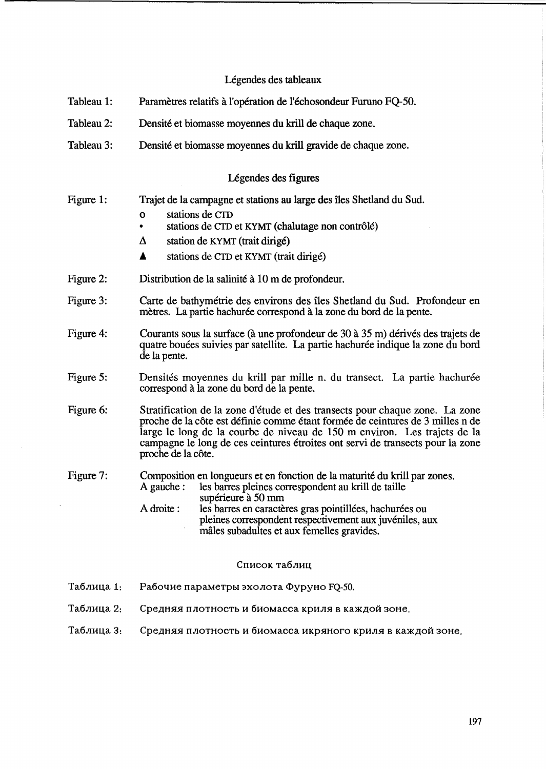# Légendes des tableaux

- Tableau 1: Paramètres relatifs à l'opération de l'échosondeur Furuno FO-50.
- Tableau 2: Densite et biomasse moyennes du kriU de chaque zone.
- Tableau 3: Densité et biomasse moyennes du krill gravide de chaque zone.

## Légendes des figures

- Figure 1: Trajet de la campagne et stations au large des iles Shetland du Sud.
	- o stations de CID
	- stations de CTD et KYMT (chalutage non contrôlé)
	- $\Delta$  station de KYMT (trait dirigé)
	- $\triangle$  stations de CTD et KYMT (trait dirigé)
- Figure 2: Distribution de la salinité à 10 m de profondeur.
- Figure 3: Carte de bathymetrie des environs des iles Shetland du Sud. Profondeur en mètres. La partie hachurée correspond à la zone du bord de la pente.
- Figure 4: Courants sous la surface (à une profondeur de 30 à 35 m) dérivés des trajets de quatre bouées suivies par satellite. La partie hachurée indique la zone du bord de la pente.
- Figure 5: Densités moyennes du krill par mille n. du transect. La partie hachurée correspond a la zone du bord de la pente.
- Figure 6: Stratification de la zone d'étude et des transects pour chaque zone. La zone proche de la côte est définie comme étant formée de ceintures de 3 milles n de large le long de la courbe de niveau de 150 m environ. Les trajets de la campagne le long de ces ceintures etroites ont servi de transects pour la zone proche de la côte.

#### Figure 7: Composition en longueurs et en fonction de la maturité du krill par zones.<br>A gauche : les barres pleines correspondent au krill de taille les barres pleines correspondent au krill de taille supérieure à 50 mm A droite : les barres en caractères gras pointillées, hachurées ou pleines correspondent respectivement aux juveniles, aux

### Список таблиц

males subadultes et aux femelles gravides.

- Таблица 1: Рабочие параметры эхолота Фуруно FQ-50.
- Таблица 2: Средняя плотность и биомасса криля в каждой зоне.
- Таблица 3: Средняя плотность и биомасса икряного криля в каждой зоне.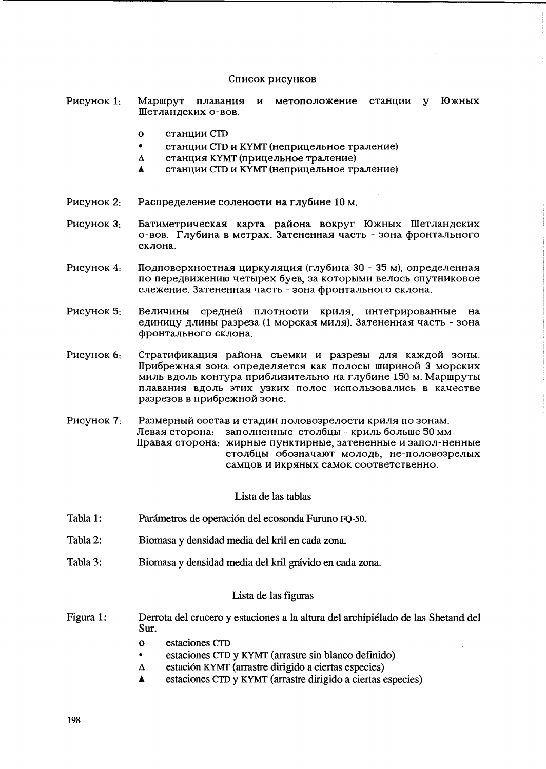#### Список рисунков

- метоположение станции у Рисунок 1: Mapwovt Южных плавания и Шетландских о-вов.
	- $\Omega$ **станции CTD**
	- $\bullet$ станции СТД и КҮМТ (неприцельное траление)
	- $\Delta$ станция КҮМТ (прицельное траление)
	- станции СТD и КҮМТ (неприцельное траление)  $\blacktriangle$
- Распределение солености на глубине 10 м. Рисунок 2:
- Рисунок 3. Батиметрическая карта района вокруг Южных Шетландских о-вов. Глубина в метрах. Затененная часть - зона фронтального склона.
- Подповерхностная циркуляция (глубина 30 35 м), определенная Рисунок 4: по передвижению четырех буев, за которыми велось спутниковое слежение. Затененная часть - зона фронтального склона.
- Рисунок 5: Величины средней плотности криля, интегрированные на. единицу длины разреза (1 морская миля). Затененная часть - зона фронтального склона.
- Рисунок 6: Стратификация района съемки и разрезы для каждой зоны. Прибрежная зона определяется как полосы шириной 3 морских миль вдоль контура приблизительно на глубине 150 м. Маршруты плавания вдоль этих узких полос использовались в качестве разрезов в прибрежной зоне.
- Рисунок 7: Размерный состав и стадии половозрелости криля по зонам. Левая сторона: заполненные столбцы - криль больше 50 мм Правая сторона: жирные пунктирные, затененные и запол-ненные столбцы обозначают молодь, не-половозрелых самцов и икряных самок соответственно.

Lista de las tablas

- Tabla 1: Parámetros de operación del ecosonda Furuno FQ-50.
- Tabla 2: Biomasa y densidad media del kril en cada zona.
- Tabla 3: Biomasa y densidad media del kril grávido en cada zona.

### Lista de las figuras

- Figura 1: Derrota del crucero y estaciones a la altura del archipiélado de las Shetand del Sur.
	- $\mathbf{o}$ estaciones CTD
	- estaciones CTD y KYMT (arrastre sin blanco definido)  $\bullet$
	- estación KYMT (arrastre dirigido a ciertas especies)  $\Delta$
	- estaciones CTD y KYMT (arrastre dirigido a ciertas especies) A